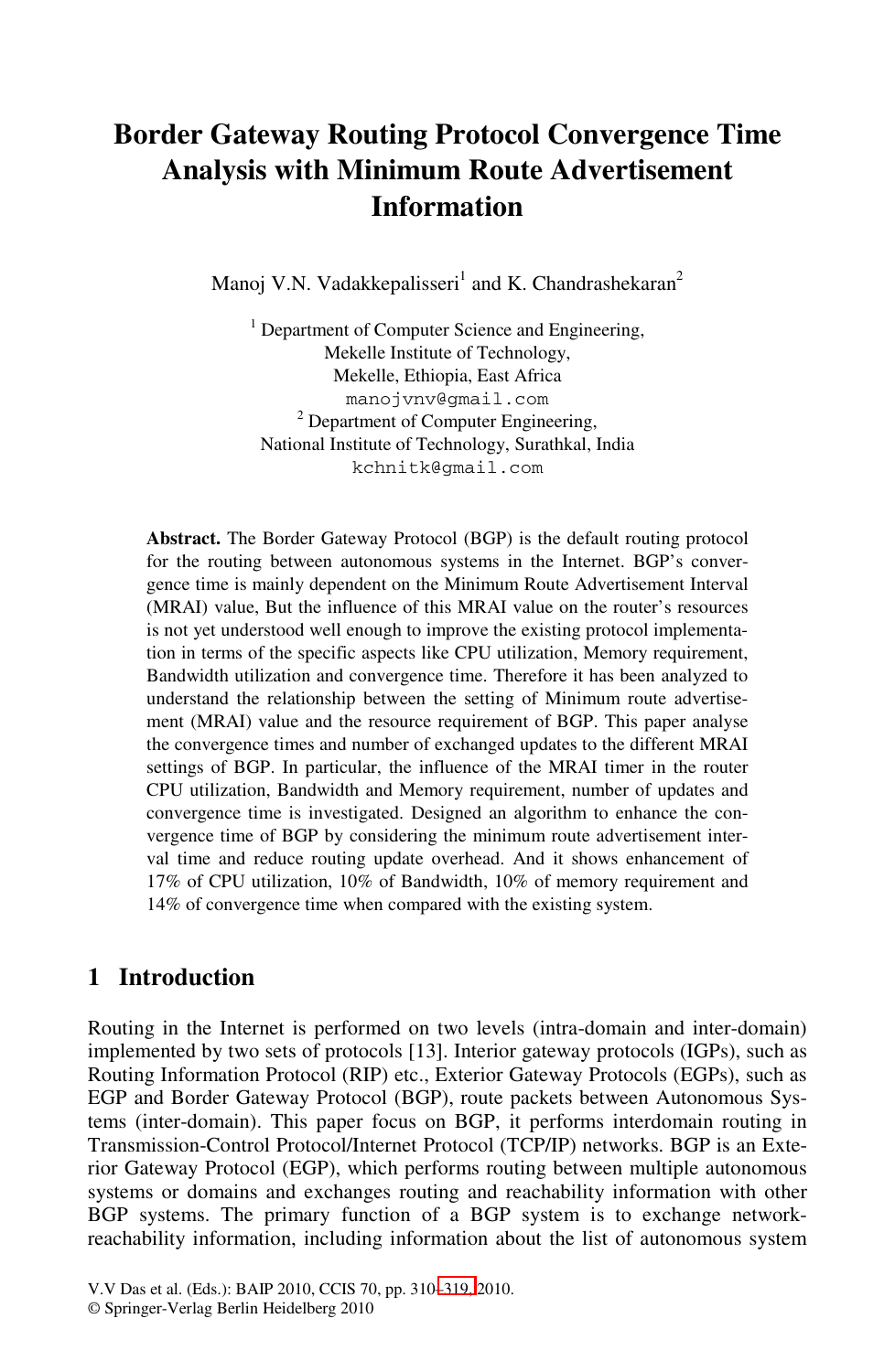## **Border Gateway Routing Protocol Convergence Time Analysis with Minimum Route Advertisement Information**

Manoj V.N. Vadakkepalisseri<sup>1</sup> and K. Chandrashekaran<sup>2</sup>

<sup>1</sup> Department of Computer Science and Engineering, Mekelle Institute of Technology, Mekelle, Ethiopia, East Africa manojvnv@gmail.com <sup>2</sup> Department of Computer Engineering, National Institute of Technology, Surathkal, India kchnitk@gmail.com

**Abstract.** The Border Gateway Protocol (BGP) is the default routing protocol for the routing between autonomous systems in the Internet. BGP's convergence time is mainly dependent on the Minimum Route Advertisement Interval (MRAI) value, But the influence of this MRAI value on the router's resources is not yet understood well enough to improve the existing protocol implementation in terms of the specific aspects like CPU utilization, Memory requirement, Bandwidth utilization and convergence time. Therefore it has been analyzed to understand the relationship between the setting of Minimum route advertisement (MRAI) value and the resource requirement of BGP. This paper analyse the convergence times and number of exchanged updates to the different MRAI settings of BGP. In particular, the influence of the MRAI timer in the router CPU utilization, Bandwidth and Memory requirement, number of updates and convergence time is investigated. Designed an algorithm to enhance the convergence time of BGP by considering the minimum route advertisement interval time and reduce routing update overhead. And it shows enhancement of 17% of CPU utilization, 10% of Bandwidth, 10% of memory requirement and 14% of convergence time when compared with the existing system.

## **1 Introduction**

Routing in the Internet is performed on two levels (intra-domain and inter-domain) implemented by two sets of protocols [13]. Interior gateway protocols (IGPs), such as Routing Information Protocol (RIP) etc., Exterior Gateway Protocols (EGPs), such as EGP and Border Gat[eway](#page--1-0) Protocol (BGP), route packets between Autonomous Systems (inter-domain). This paper focus on BGP, it performs interdomain routing in Transmission-Control Protocol/Internet Protocol (TCP/IP) networks. BGP is an Exterior Gateway Protocol (EGP), which performs routing between multiple autonomous systems or domains and exchanges routing and reachability information with other BGP systems. The primary function of a BGP system is to exchange networkreachability information, including information about the list of autonomous system

V.V Das et al. (Eds.): BAIP 2010, CCIS 70, pp. 310–319, 2010.

<sup>©</sup> Springer-Verlag Berlin Heidelberg 2010